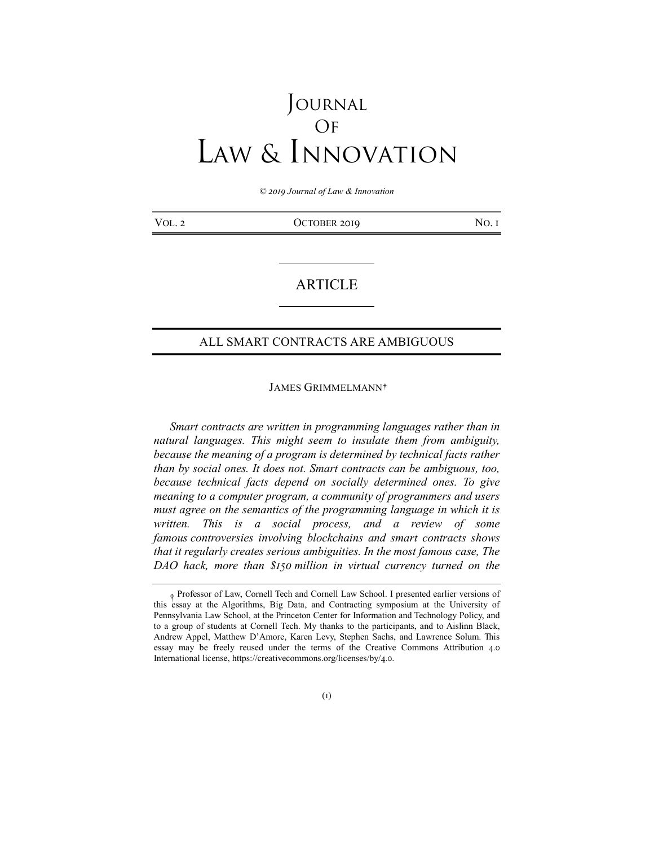# Journal Of Law & Innovation

*© 2019 Journal of Law & Innovation*

| VOL. 2 | OCTOBER 2019 | NO.1 |
|--------|--------------|------|
|--------|--------------|------|

# ARTICLE

# ALL SMART CONTRACTS ARE AMBIGUOUS

### JAMES GRIMMELMANN**[†](#page-0-0)**

*Smart contracts are written in programming languages rather than in natural languages. This might seem to insulate them from ambiguity, because the meaning of a program is determined by technical facts rather than by social ones. It does not. Smart contracts can be ambiguous, too, because technical facts depend on socially determined ones. To give meaning to a computer program, a community of programmers and users must agree on the semantics of the programming language in which it is written. This is a social process, and a review of some famous controversies involving blockchains and smart contracts shows that it regularly creates serious ambiguities. In the most famous case, The DAO hack, more than \$150 million in virtual currency turned on the* 

<span id="page-0-0"></span><sup>†</sup> Professor of Law, Cornell Tech and Cornell Law School. I presented earlier versions of this essay at the Algorithms, Big Data, and Contracting symposium at the University of Pennsylvania Law School, at the Princeton Center for Information and Technology Policy, and to a group of students at Cornell Tech. My thanks to the participants, and to Aislinn Black, Andrew Appel, Matthew D'Amore, Karen Levy, Stephen Sachs, and Lawrence Solum. This essay may be freely reused under the terms of the Creative Commons Attribution 4.0 International license, https://creativecommons.org/licenses/by/4.0.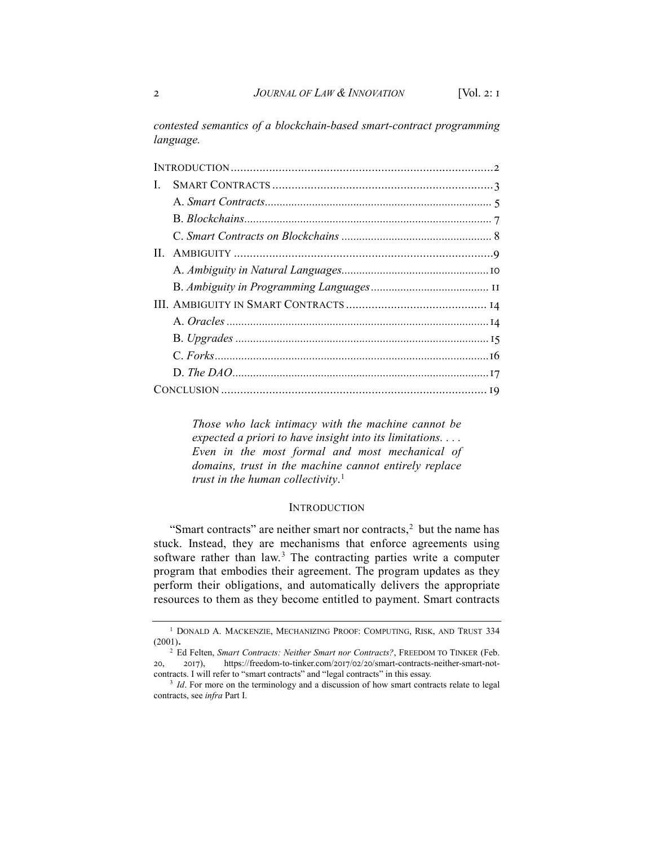*contested semantics of a blockchain-based smart-contract programming language.*

| Ι. |  |
|----|--|
|    |  |
|    |  |
|    |  |
|    |  |
|    |  |
|    |  |
|    |  |
|    |  |
|    |  |
|    |  |
|    |  |
|    |  |

*Those who lack intimacy with the machine cannot be expected a priori to have insight into its limitations. . . . Even in the most formal and most mechanical of domains, trust in the machine cannot entirely replace trust in the human collectivity*. [1](#page-1-0)

#### INTRODUCTION

"Smart contracts" are neither smart nor contracts, $2$  but the name has stuck. Instead, they are mechanisms that enforce agreements using software rather than law.<sup>[3](#page-1-2)</sup> The contracting parties write a computer program that embodies their agreement. The program updates as they perform their obligations, and automatically delivers the appropriate resources to them as they become entitled to payment. Smart contracts

<span id="page-1-0"></span> $^{\rm l}$  DONALD A. MACKENZIE, MECHANIZING PROOF: COMPUTING, RISK, AND TRUST 334 (2001).

<span id="page-1-1"></span><sup>&</sup>lt;sup>2</sup> Ed Felten, *Smart Contracts: Neither Smart nor Contracts?*, FREEDOM TO TINKER (Feb. 20, 2017), https://freedom-to-tinker.com/2017/02/20/smart-contracts-neither-smart-notcontracts. I will refer to "smart contracts" and "legal contracts" in this essay.

<span id="page-1-2"></span><sup>&</sup>lt;sup>3</sup> *Id*. For more on the terminology and a discussion of how smart contracts relate to legal contracts, see *infra* Part I.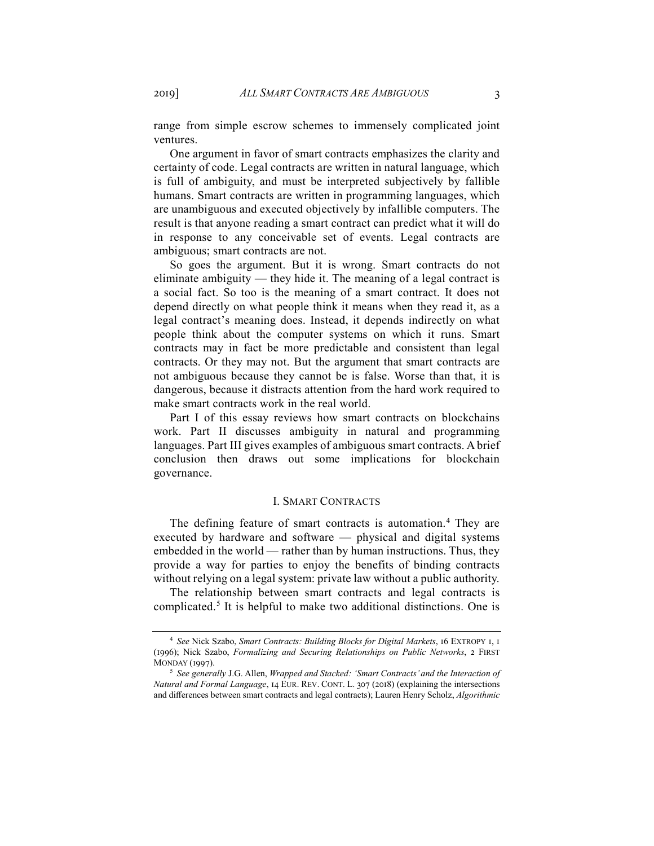range from simple escrow schemes to immensely complicated joint

One argument in favor of smart contracts emphasizes the clarity and certainty of code. Legal contracts are written in natural language, which is full of ambiguity, and must be interpreted subjectively by fallible humans. Smart contracts are written in programming languages, which are unambiguous and executed objectively by infallible computers. The result is that anyone reading a smart contract can predict what it will do in response to any conceivable set of events. Legal contracts are ambiguous; smart contracts are not.

So goes the argument. But it is wrong. Smart contracts do not eliminate ambiguity — they hide it. The meaning of a legal contract is a social fact. So too is the meaning of a smart contract. It does not depend directly on what people think it means when they read it, as a legal contract's meaning does. Instead, it depends indirectly on what people think about the computer systems on which it runs. Smart contracts may in fact be more predictable and consistent than legal contracts. Or they may not. But the argument that smart contracts are not ambiguous because they cannot be is false. Worse than that, it is dangerous, because it distracts attention from the hard work required to make smart contracts work in the real world.

Part I of this essay reviews how smart contracts on blockchains work. Part II discusses ambiguity in natural and programming languages. Part III gives examples of ambiguous smart contracts. A brief conclusion then draws out some implications for blockchain governance.

### I. SMART CONTRACTS

The defining feature of smart contracts is automation.<sup>[4](#page-2-0)</sup> They are executed by hardware and software — physical and digital systems embedded in the world — rather than by human instructions. Thus, they provide a way for parties to enjoy the benefits of binding contracts without relying on a legal system: private law without a public authority.

The relationship between smart contracts and legal contracts is complicated.[5](#page-2-1) It is helpful to make two additional distinctions. One is

ventures.

<span id="page-2-0"></span><sup>4</sup> *See* Nick Szabo, *Smart Contracts: Building Blocks for Digital Markets*, 16 EXTROPY 1, 1 (1996); Nick Szabo, *Formalizing and Securing Relationships on Public Networks*, 2 FIRST MONDAY (1997).

<span id="page-2-1"></span><sup>5</sup> *See generally* J.G. Allen, *Wrapped and Stacked: 'Smart Contracts' and the Interaction of Natural and Formal Language*, 14 EUR. REV. CONT. L. 307 (2018) (explaining the intersections and differences between smart contracts and legal contracts); Lauren Henry Scholz, *Algorithmic*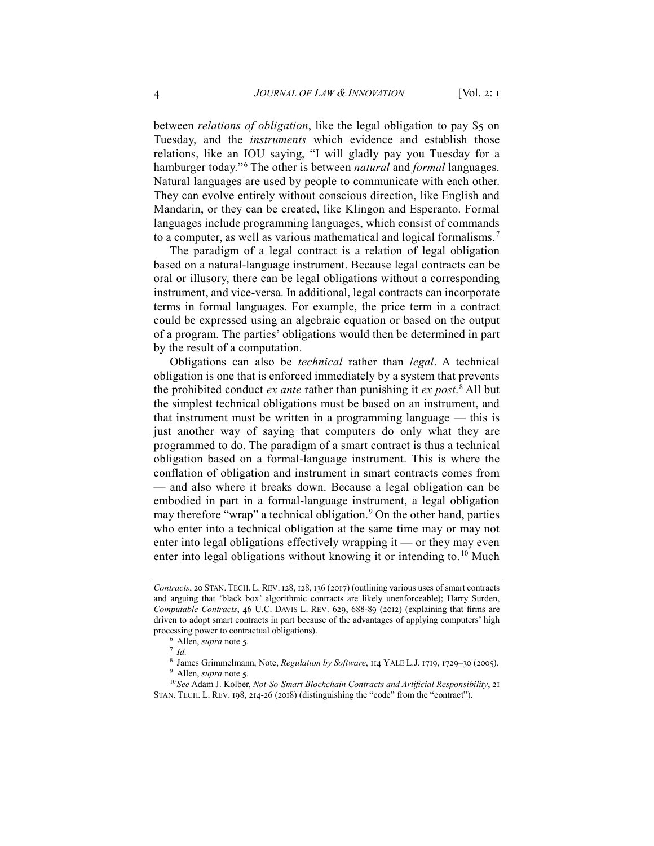between *relations of obligation*, like the legal obligation to pay \$5 on Tuesday, and the *instruments* which evidence and establish those relations, like an IOU saying, "I will gladly pay you Tuesday for a hamburger today."[6](#page-3-0) The other is between *natural* and *formal* languages. Natural languages are used by people to communicate with each other. They can evolve entirely without conscious direction, like English and Mandarin, or they can be created, like Klingon and Esperanto. Formal languages include programming languages, which consist of commands to a computer, as well as various mathematical and logical formalisms.[7](#page-3-1)

The paradigm of a legal contract is a relation of legal obligation based on a natural-language instrument. Because legal contracts can be oral or illusory, there can be legal obligations without a corresponding instrument, and vice-versa. In additional, legal contracts can incorporate terms in formal languages. For example, the price term in a contract could be expressed using an algebraic equation or based on the output of a program. The parties' obligations would then be determined in part by the result of a computation.

Obligations can also be *technical* rather than *legal*. A technical obligation is one that is enforced immediately by a system that prevents the prohibited conduct *ex ante* rather than punishing it *ex post*. [8](#page-3-2) All but the simplest technical obligations must be based on an instrument, and that instrument must be written in a programming language — this is just another way of saying that computers do only what they are programmed to do. The paradigm of a smart contract is thus a technical obligation based on a formal-language instrument. This is where the conflation of obligation and instrument in smart contracts comes from — and also where it breaks down. Because a legal obligation can be embodied in part in a formal-language instrument, a legal obligation may therefore "wrap" a technical obligation.<sup>[9](#page-3-3)</sup> On the other hand, parties who enter into a technical obligation at the same time may or may not enter into legal obligations effectively wrapping it — or they may even enter into legal obligations without knowing it or intending to.<sup>[10](#page-3-4)</sup> Much

*Contracts*, 20 STAN. TECH. L. REV. 128, 128, 136 (2017) (outlining various uses of smart contracts and arguing that 'black box' algorithmic contracts are likely unenforceable); Harry Surden, *Computable Contracts*, 46 U.C. DAVIS L. REV. 629, 688-89 (2012) (explaining that firms are driven to adopt smart contracts in part because of the advantages of applying computers' high processing power to contractual obligations).

<sup>6</sup> Allen, *supra* note 5.

<sup>7</sup> *Id.*

<sup>8</sup> James Grimmelmann, Note, *Regulation by Software*, 114 YALE L.J. 1719, 1729–30 (2005).

<sup>9</sup> Allen, *supra* note 5.

<span id="page-3-4"></span><span id="page-3-3"></span><span id="page-3-2"></span><span id="page-3-1"></span><span id="page-3-0"></span><sup>10</sup> *See* Adam J. Kolber, *Not-So-Smart Blockchain Contracts and Artificial Responsibility*, 21 STAN. TECH. L. REV. 198, 214-26 (2018) (distinguishing the "code" from the "contract").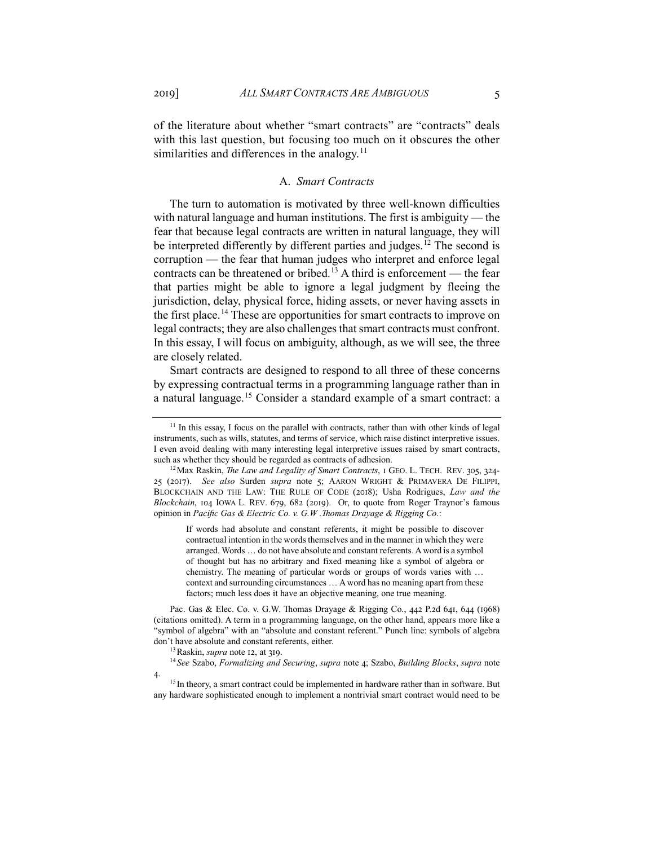of the literature about whether "smart contracts" are "contracts" deals with this last question, but focusing too much on it obscures the other similarities and differences in the analogy.<sup>[11](#page-4-0)</sup>

#### A. *Smart Contracts*

The turn to automation is motivated by three well-known difficulties with natural language and human institutions. The first is ambiguity — the fear that because legal contracts are written in natural language, they will be interpreted differently by different parties and judges.<sup>[12](#page-4-1)</sup> The second is corruption — the fear that human judges who interpret and enforce legal contracts can be threatened or bribed.[13](#page-4-2) A third is enforcement — the fear that parties might be able to ignore a legal judgment by fleeing the jurisdiction, delay, physical force, hiding assets, or never having assets in the first place.<sup>[14](#page-4-3)</sup> These are opportunities for smart contracts to improve on legal contracts; they are also challenges that smart contracts must confront. In this essay, I will focus on ambiguity, although, as we will see, the three are closely related.

Smart contracts are designed to respond to all three of these concerns by expressing contractual terms in a programming language rather than in a natural language.<sup>[15](#page-4-4)</sup> Consider a standard example of a smart contract: a

If words had absolute and constant referents, it might be possible to discover contractual intention in the words themselves and in the manner in which they were arranged. Words … do not have absolute and constant referents. A word is a symbol of thought but has no arbitrary and fixed meaning like a symbol of algebra or chemistry. The meaning of particular words or groups of words varies with … context and surrounding circumstances … A word has no meaning apart from these factors; much less does it have an objective meaning, one true meaning.

Pac. Gas & Elec. Co. v. G.W. Thomas Drayage & Rigging Co., 442 P.2d 641, 644 (1968) (citations omitted). A term in a programming language, on the other hand, appears more like a "symbol of algebra" with an "absolute and constant referent." Punch line: symbols of algebra don't have absolute and constant referents, either.

13Raskin, *supra* note 12, at 319.

<span id="page-4-3"></span><span id="page-4-2"></span>4.

<sup>14</sup> *See* Szabo, *Formalizing and Securing*, *supra* note 4; Szabo, *Building Blocks*, *supra* note

<span id="page-4-0"></span><sup>&</sup>lt;sup>11</sup> In this essay, I focus on the parallel with contracts, rather than with other kinds of legal instruments, such as wills, statutes, and terms of service, which raise distinct interpretive issues. I even avoid dealing with many interesting legal interpretive issues raised by smart contracts, such as whether they should be regarded as contracts of adhesion.<br><sup>12</sup>Max Raskin, *The Law and Legality of Smart Contracts*, 1 GEO. L. TECH. REV. 305, 324-

<span id="page-4-1"></span><sup>25 (2017).</sup> *See also* Surden *supra* note 5; AARON WRIGHT & PRIMAVERA DE FILIPPI, BLOCKCHAIN AND THE LAW: THE RULE OF CODE (2018); Usha Rodrigues, *Law and the Blockchain*, 104 IOWA L. REV. 679, 682 (2019). Or, to quote from Roger Traynor's famous opinion in *Pacific Gas & Electric Co. v. G.W .Thomas Drayage & Rigging Co.*:

<span id="page-4-4"></span><sup>&</sup>lt;sup>15</sup> In theory, a smart contract could be implemented in hardware rather than in software. But any hardware sophisticated enough to implement a nontrivial smart contract would need to be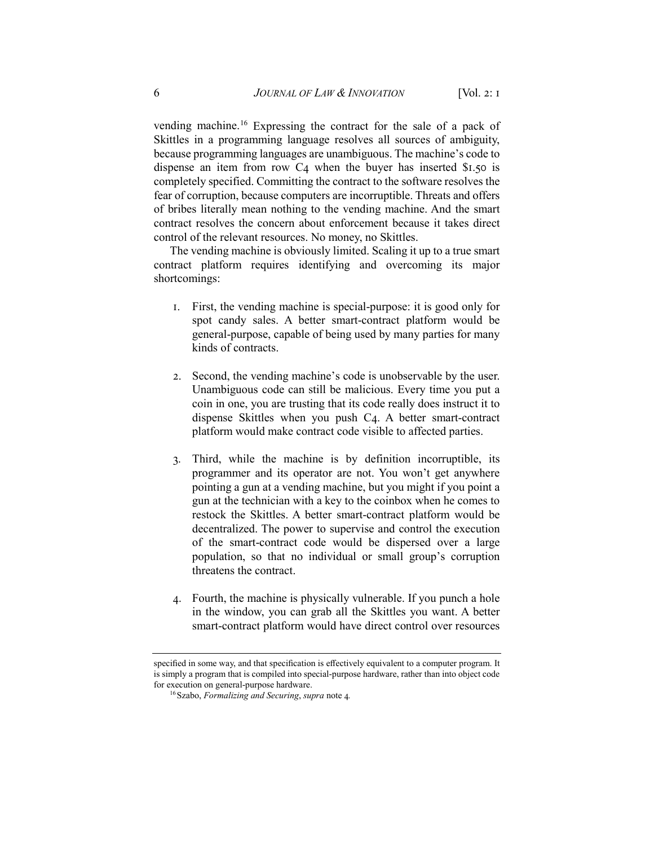vending machine.[16](#page-5-0) Expressing the contract for the sale of a pack of Skittles in a programming language resolves all sources of ambiguity, because programming languages are unambiguous. The machine's code to dispense an item from row  $C_4$  when the buyer has inserted \$1.50 is completely specified. Committing the contract to the software resolves the fear of corruption, because computers are incorruptible. Threats and offers of bribes literally mean nothing to the vending machine. And the smart contract resolves the concern about enforcement because it takes direct control of the relevant resources. No money, no Skittles.

The vending machine is obviously limited. Scaling it up to a true smart contract platform requires identifying and overcoming its major shortcomings:

- 1. First, the vending machine is special-purpose: it is good only for spot candy sales. A better smart-contract platform would be general-purpose, capable of being used by many parties for many kinds of contracts.
- 2. Second, the vending machine's code is unobservable by the user. Unambiguous code can still be malicious. Every time you put a coin in one, you are trusting that its code really does instruct it to dispense Skittles when you push C4. A better smart-contract platform would make contract code visible to affected parties.
- 3. Third, while the machine is by definition incorruptible, its programmer and its operator are not. You won't get anywhere pointing a gun at a vending machine, but you might if you point a gun at the technician with a key to the coinbox when he comes to restock the Skittles. A better smart-contract platform would be decentralized. The power to supervise and control the execution of the smart-contract code would be dispersed over a large population, so that no individual or small group's corruption threatens the contract.
- 4. Fourth, the machine is physically vulnerable. If you punch a hole in the window, you can grab all the Skittles you want. A better smart-contract platform would have direct control over resources

<span id="page-5-0"></span>specified in some way, and that specification is effectively equivalent to a computer program. It is simply a program that is compiled into special-purpose hardware, rather than into object code for execution on general-purpose hardware.

<sup>16</sup>Szabo, *Formalizing and Securing*, *supra* note 4*.*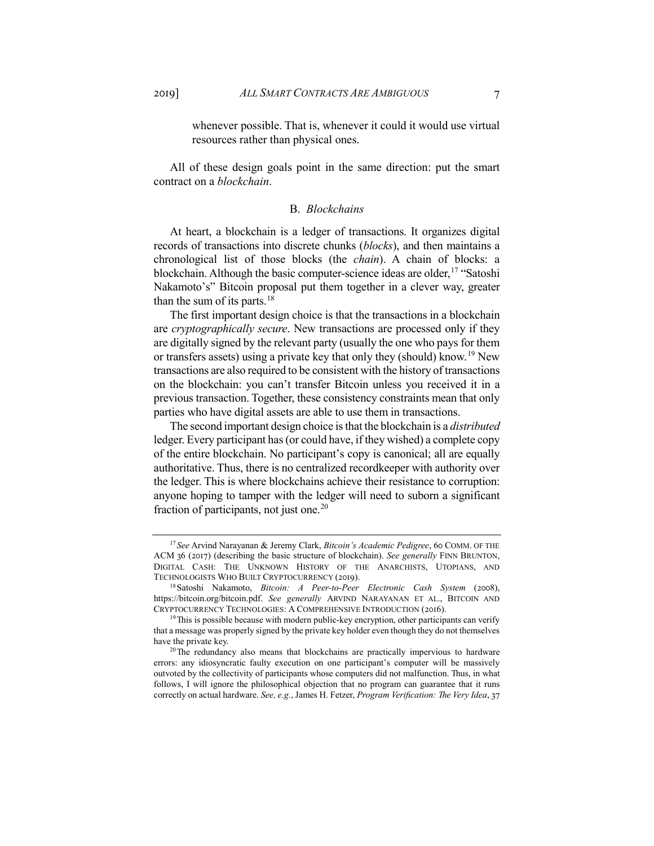whenever possible. That is, whenever it could it would use virtual resources rather than physical ones.

All of these design goals point in the same direction: put the smart contract on a *blockchain*.

#### B. *Blockchains*

At heart, a blockchain is a ledger of transactions. It organizes digital records of transactions into discrete chunks (*blocks*), and then maintains a chronological list of those blocks (the *chain*). A chain of blocks: a blockchain. Although the basic computer-science ideas are older,  $17$  "Satoshi Nakamoto's" Bitcoin proposal put them together in a clever way, greater than the sum of its parts. $18$ 

The first important design choice is that the transactions in a blockchain are *cryptographically secure*. New transactions are processed only if they are digitally signed by the relevant party (usually the one who pays for them or transfers assets) using a private key that only they (should) know.<sup>[19](#page-6-2)</sup> New transactions are also required to be consistent with the history of transactions on the blockchain: you can't transfer Bitcoin unless you received it in a previous transaction. Together, these consistency constraints mean that only parties who have digital assets are able to use them in transactions.

The second important design choice is that the blockchain is a *distributed* ledger. Every participant has (or could have, if they wished) a complete copy of the entire blockchain. No participant's copy is canonical; all are equally authoritative. Thus, there is no centralized recordkeeper with authority over the ledger. This is where blockchains achieve their resistance to corruption: anyone hoping to tamper with the ledger will need to suborn a significant fraction of participants, not just one.<sup>[20](#page-6-3)</sup>

<span id="page-6-0"></span><sup>17</sup> *See* Arvind Narayanan & Jeremy Clark, *Bitcoin's Academic Pedigree*, 60 COMM. OF THE ACM 36 (2017) (describing the basic structure of blockchain). *See generally* FINN BRUNTON, DIGITAL CASH: THE UNKNOWN HISTORY OF THE ANARCHISTS, UTOPIANS, AND TECHNOLOGISTS WHO BUILT CRYPTOCURRENCY (2019).

<span id="page-6-1"></span><sup>18</sup>Satoshi Nakamoto, *Bitcoin: A Peer-to-Peer Electronic Cash System* (2008), https://bitcoin.org/bitcoin.pdf. *See generally* ARVIND NARAYANAN ET AL., BITCOIN AND CRYPTOCURRENCY TECHNOLOGIES: A COMPREHENSIVE INTRODUCTION (2016).

<span id="page-6-2"></span> $19\text{ This is possible because with modern public-key encryption, other participants can verify}$ that a message was properly signed by the private key holder even though they do not themselves have the private key.

<span id="page-6-3"></span><sup>&</sup>lt;sup>20</sup>The redundancy also means that blockchains are practically impervious to hardware errors: any idiosyncratic faulty execution on one participant's computer will be massively outvoted by the collectivity of participants whose computers did not malfunction. Thus, in what follows, I will ignore the philosophical objection that no program can guarantee that it runs correctly on actual hardware. *See, e.g.*, James H. Fetzer, *Program Verification: The Very Idea*, 37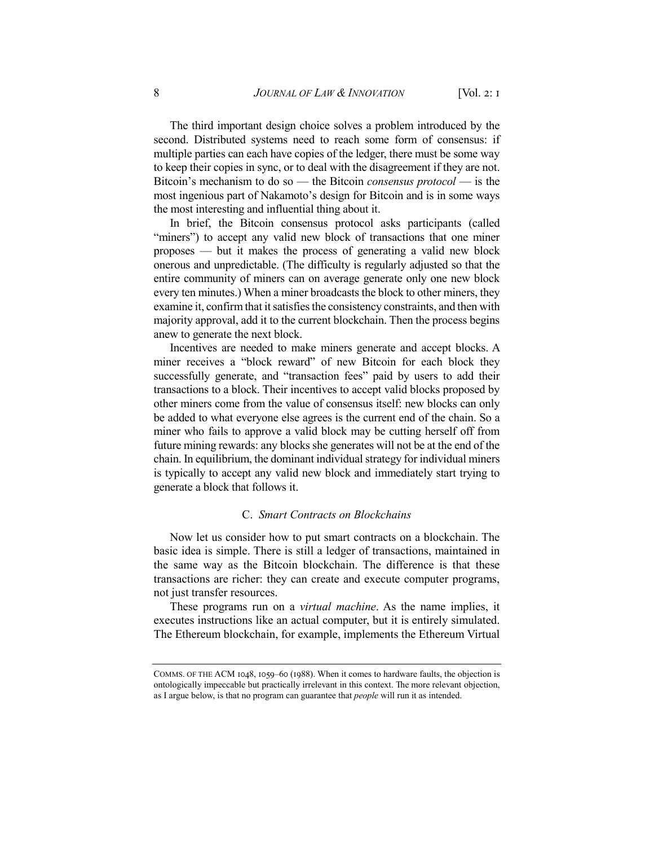The third important design choice solves a problem introduced by the second. Distributed systems need to reach some form of consensus: if multiple parties can each have copies of the ledger, there must be some way to keep their copies in sync, or to deal with the disagreement if they are not. Bitcoin's mechanism to do so — the Bitcoin *consensus protocol* — is the most ingenious part of Nakamoto's design for Bitcoin and is in some ways the most interesting and influential thing about it.

In brief, the Bitcoin consensus protocol asks participants (called "miners") to accept any valid new block of transactions that one miner proposes — but it makes the process of generating a valid new block onerous and unpredictable. (The difficulty is regularly adjusted so that the entire community of miners can on average generate only one new block every ten minutes.) When a miner broadcasts the block to other miners, they examine it, confirm that it satisfies the consistency constraints, and then with majority approval, add it to the current blockchain. Then the process begins anew to generate the next block.

Incentives are needed to make miners generate and accept blocks. A miner receives a "block reward" of new Bitcoin for each block they successfully generate, and "transaction fees" paid by users to add their transactions to a block. Their incentives to accept valid blocks proposed by other miners come from the value of consensus itself: new blocks can only be added to what everyone else agrees is the current end of the chain. So a miner who fails to approve a valid block may be cutting herself off from future mining rewards: any blocks she generates will not be at the end of the chain. In equilibrium, the dominant individual strategy for individual miners is typically to accept any valid new block and immediately start trying to generate a block that follows it.

#### C. *Smart Contracts on Blockchains*

Now let us consider how to put smart contracts on a blockchain. The basic idea is simple. There is still a ledger of transactions, maintained in the same way as the Bitcoin blockchain. The difference is that these transactions are richer: they can create and execute computer programs, not just transfer resources.

These programs run on a *virtual machine*. As the name implies, it executes instructions like an actual computer, but it is entirely simulated. The Ethereum blockchain, for example, implements the Ethereum Virtual

COMMS. OF THE ACM 1048, 1059–60 (1988). When it comes to hardware faults, the objection is ontologically impeccable but practically irrelevant in this context. The more relevant objection, as I argue below, is that no program can guarantee that *people* will run it as intended.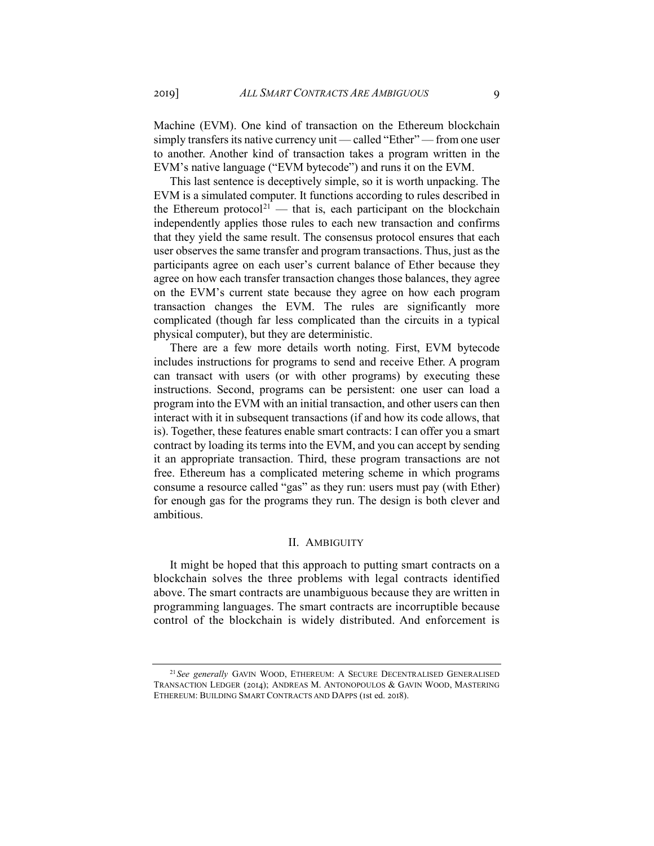Machine (EVM). One kind of transaction on the Ethereum blockchain simply transfers its native currency unit — called "Ether" — from one user to another. Another kind of transaction takes a program written in the EVM's native language ("EVM bytecode") and runs it on the EVM.

This last sentence is deceptively simple, so it is worth unpacking. The EVM is a simulated computer. It functions according to rules described in the Ethereum protocol<sup>[21](#page-8-0)</sup> — that is, each participant on the blockchain independently applies those rules to each new transaction and confirms that they yield the same result. The consensus protocol ensures that each user observes the same transfer and program transactions. Thus, just as the participants agree on each user's current balance of Ether because they agree on how each transfer transaction changes those balances, they agree on the EVM's current state because they agree on how each program transaction changes the EVM. The rules are significantly more complicated (though far less complicated than the circuits in a typical physical computer), but they are deterministic.

There are a few more details worth noting. First, EVM bytecode includes instructions for programs to send and receive Ether. A program can transact with users (or with other programs) by executing these instructions. Second, programs can be persistent: one user can load a program into the EVM with an initial transaction, and other users can then interact with it in subsequent transactions (if and how its code allows, that is). Together, these features enable smart contracts: I can offer you a smart contract by loading its terms into the EVM, and you can accept by sending it an appropriate transaction. Third, these program transactions are not free. Ethereum has a complicated metering scheme in which programs consume a resource called "gas" as they run: users must pay (with Ether) for enough gas for the programs they run. The design is both clever and ambitious.

#### II. AMBIGUITY

It might be hoped that this approach to putting smart contracts on a blockchain solves the three problems with legal contracts identified above. The smart contracts are unambiguous because they are written in programming languages. The smart contracts are incorruptible because control of the blockchain is widely distributed. And enforcement is

<span id="page-8-0"></span><sup>21</sup> *See generally* GAVIN WOOD, ETHEREUM: A SECURE DECENTRALISED GENERALISED TRANSACTION LEDGER (2014); ANDREAS M. ANTONOPOULOS & GAVIN WOOD, MASTERING ETHEREUM: BUILDING SMART CONTRACTS AND DAPPS (1st ed. 2018).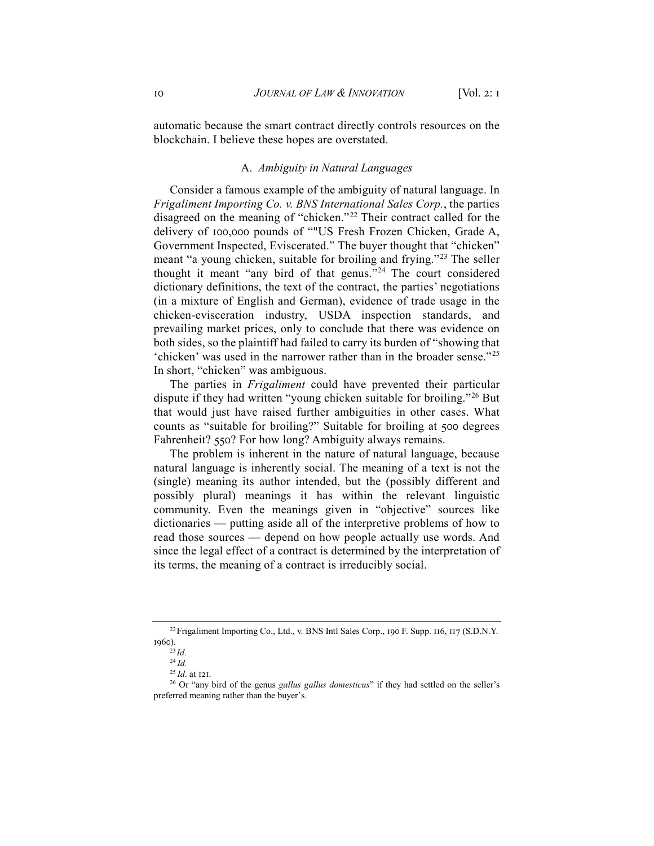automatic because the smart contract directly controls resources on the blockchain. I believe these hopes are overstated.

#### A. *Ambiguity in Natural Languages*

Consider a famous example of the ambiguity of natural language. In *Frigaliment Importing Co. v. BNS International Sales Corp.*, the parties disagreed on the meaning of "chicken."[22](#page-9-0) Their contract called for the delivery of 100,000 pounds of ""US Fresh Frozen Chicken, Grade A, Government Inspected, Eviscerated." The buyer thought that "chicken" meant "a young chicken, suitable for broiling and frying."[23](#page-9-1) The seller thought it meant "any bird of that genus."[24](#page-9-2) The court considered dictionary definitions, the text of the contract, the parties' negotiations (in a mixture of English and German), evidence of trade usage in the chicken-evisceration industry, USDA inspection standards, and prevailing market prices, only to conclude that there was evidence on both sides, so the plaintiff had failed to carry its burden of "showing that 'chicken' was used in the narrower rather than in the broader sense."[25](#page-9-3) In short, "chicken" was ambiguous.

The parties in *Frigaliment* could have prevented their particular dispute if they had written "young chicken suitable for broiling."<sup>[26](#page-9-4)</sup> But that would just have raised further ambiguities in other cases. What counts as "suitable for broiling?" Suitable for broiling at 500 degrees Fahrenheit? 550? For how long? Ambiguity always remains.

The problem is inherent in the nature of natural language, because natural language is inherently social. The meaning of a text is not the (single) meaning its author intended, but the (possibly different and possibly plural) meanings it has within the relevant linguistic community. Even the meanings given in "objective" sources like dictionaries — putting aside all of the interpretive problems of how to read those sources — depend on how people actually use words. And since the legal effect of a contract is determined by the interpretation of its terms, the meaning of a contract is irreducibly social.

<span id="page-9-1"></span><span id="page-9-0"></span><sup>&</sup>lt;sup>22</sup> Frigaliment Importing Co., Ltd., v. BNS Intl Sales Corp., 190 F. Supp. 116, 117 (S.D.N.Y. 1960).

 $^{23}$ *Id.* 

<sup>24</sup> *Id.*

<sup>25</sup> *Id*. at 121.

<span id="page-9-4"></span><span id="page-9-3"></span><span id="page-9-2"></span><sup>26</sup> Or "any bird of the genus *gallus gallus domesticus*" if they had settled on the seller's preferred meaning rather than the buyer's.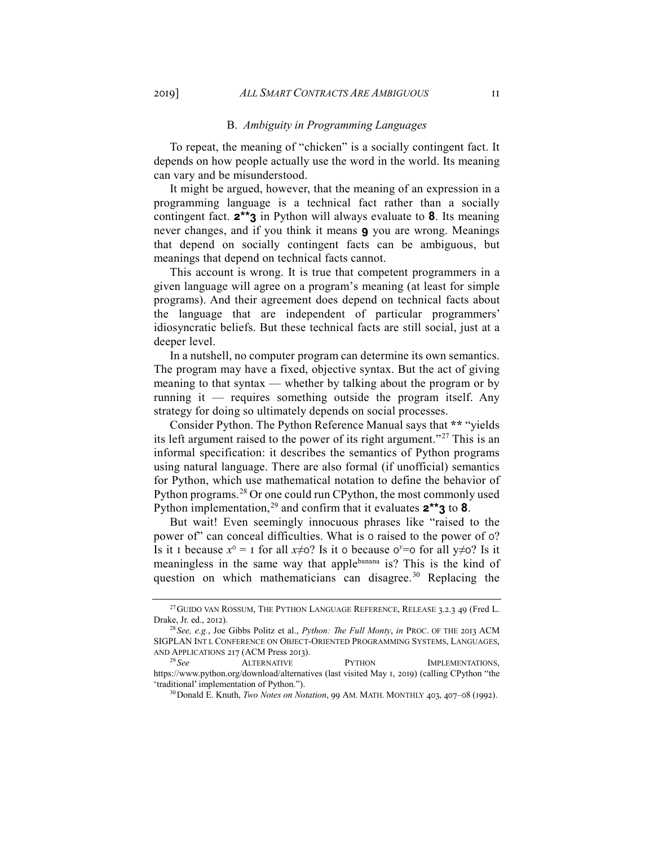#### B. *Ambiguity in Programming Languages*

To repeat, the meaning of "chicken" is a socially contingent fact. It depends on how people actually use the word in the world. Its meaning can vary and be misunderstood.

It might be argued, however, that the meaning of an expression in a programming language is a technical fact rather than a socially contingent fact. **2\*\*3** in Python will always evaluate to **8**. Its meaning never changes, and if you think it means **9** you are wrong. Meanings that depend on socially contingent facts can be ambiguous, but meanings that depend on technical facts cannot.

This account is wrong. It is true that competent programmers in a given language will agree on a program's meaning (at least for simple programs). And their agreement does depend on technical facts about the language that are independent of particular programmers' idiosyncratic beliefs. But these technical facts are still social, just at a deeper level.

In a nutshell, no computer program can determine its own semantics. The program may have a fixed, objective syntax. But the act of giving meaning to that syntax — whether by talking about the program or by running it — requires something outside the program itself. Any strategy for doing so ultimately depends on social processes.

Consider Python. The Python Reference Manual says that **\*\*** "yields its left argument raised to the power of its right argument."[27](#page-10-0) This is an informal specification: it describes the semantics of Python programs using natural language. There are also formal (if unofficial) semantics for Python, which use mathematical notation to define the behavior of Python programs.<sup>[28](#page-10-1)</sup> Or one could run CPython, the most commonly used Python implementation,<sup>[29](#page-10-2)</sup> and confirm that it evaluates  $2^{**}3$  to 8.

But wait! Even seemingly innocuous phrases like "raised to the power of" can conceal difficulties. What is 0 raised to the power of 0? Is it 1 because  $x^0 = 1$  for all  $x \neq 0$ ? Is it 0 because  $0^y = 0$  for all  $y \neq 0$ ? Is it meaningless in the same way that applebanana is? This is the kind of question on which mathematicians can disagree.<sup>[30](#page-10-3)</sup> Replacing the

<span id="page-10-0"></span><sup>&</sup>lt;sup>27</sup> GUIDO VAN ROSSUM, THE PYTHON LANGUAGE REFERENCE, RELEASE 3.2.3 49 (Fred L. Drake, Jr. ed., 2012).

<span id="page-10-1"></span><sup>28</sup> *See, e.g.*, Joe Gibbs Politz et al., *Python: The Full Monty*, *in* PROC. OF THE 2013 ACM SIGPLAN INT L CONFERENCE ON OBJECT-ORIENTED PROGRAMMING SYSTEMS, LANGUAGES, AND APPLICATIONS 217 (ACM Press 2013).<br><sup>29</sup> See ALTERNATIVE

<span id="page-10-3"></span><span id="page-10-2"></span>ALTERNATIVE **PYTHON** IMPLEMENTATIONS, https://www.python.org/download/alternatives (last visited May 1, 2019) (calling CPython "the 'traditional' implementation of Python."). 30Donald E. Knuth, *Two Notes on Notation*, 99 AM. MATH. MONTHLY 403, 407–08 (1992).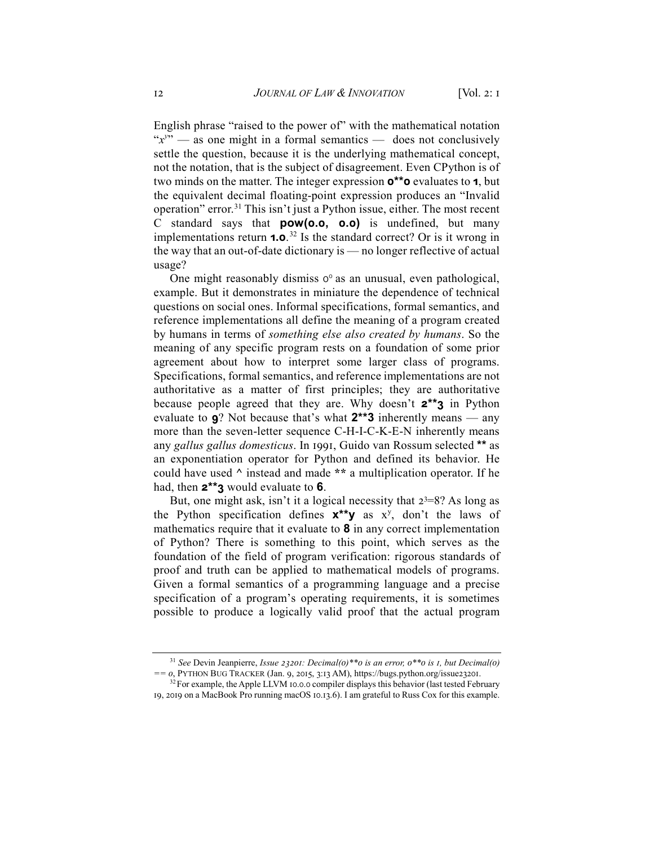English phrase "raised to the power of" with the mathematical notation " $x$ <sup>y</sup>" — as one might in a formal semantics — does not conclusively settle the question, because it is the underlying mathematical concept, not the notation, that is the subject of disagreement. Even CPython is of two minds on the matter. The integer expression **0\*\*0** evaluates to **1**, but the equivalent decimal floating-point expression produces an "Invalid operation" error.<sup>31</sup> This isn't just a Python issue, either. The most recent C standard says that **pow(0.0, 0.0)** is undefined, but many implementations return **1.0**. [32](#page-11-1) Is the standard correct? Or is it wrong in the way that an out-of-date dictionary is — no longer reflective of actual usage?

One might reasonably dismiss  $0^{\circ}$  as an unusual, even pathological, example. But it demonstrates in miniature the dependence of technical questions on social ones. Informal specifications, formal semantics, and reference implementations all define the meaning of a program created by humans in terms of *something else also created by humans*. So the meaning of any specific program rests on a foundation of some prior agreement about how to interpret some larger class of programs. Specifications, formal semantics, and reference implementations are not authoritative as a matter of first principles; they are authoritative because people agreed that they are. Why doesn't **2\*\*3** in Python evaluate to **9**? Not because that's what **2\*\*3** inherently means — any more than the seven-letter sequence C-H-I-C-K-E-N inherently means any *gallus gallus domesticus*. In 1991, Guido van Rossum selected **\*\*** as an exponentiation operator for Python and defined its behavior. He could have used **^** instead and made **\*\*** a multiplication operator. If he had, then **2\*\*3** would evaluate to **6**.

But, one might ask, isn't it a logical necessity that  $2<sup>3</sup>=8$ ? As long as the Python specification defines **x\*\*y** as xy , don't the laws of mathematics require that it evaluate to **8** in any correct implementation of Python? There is something to this point, which serves as the foundation of the field of program verification: rigorous standards of proof and truth can be applied to mathematical models of programs. Given a formal semantics of a programming language and a precise specification of a program's operating requirements, it is sometimes possible to produce a logically valid proof that the actual program

<span id="page-11-0"></span><sup>31</sup> *See* Devin Jeanpierre, *Issue 23201: Decimal(0)\*\*0 is an error, 0\*\*0 is 1, but Decimal(0) == 0*, PYTHON BUG TRACKER (Jan. 9, 2015, 3:13 AM), https://bugs.python.org/issue23201.

<span id="page-11-1"></span> $32$  For example, the Apple LLVM 10.0.0 compiler displays this behavior (last tested February 19, 2019 on a MacBook Pro running macOS 10.13.6). I am grateful to Russ Cox for this example.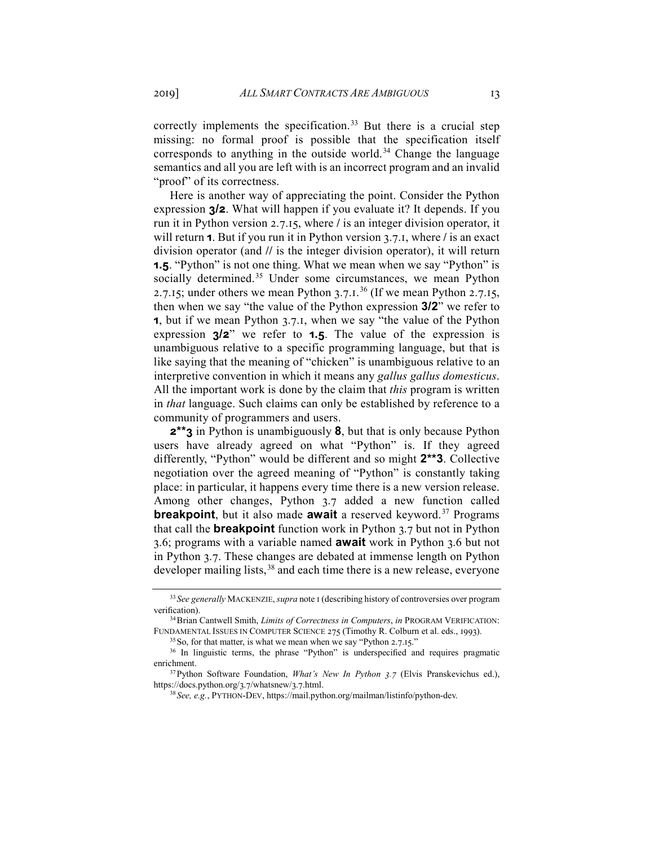correctly implements the specification.<sup>[33](#page-12-0)</sup> But there is a crucial step missing: no formal proof is possible that the specification itself corresponds to anything in the outside world.<sup>[34](#page-12-1)</sup> Change the language semantics and all you are left with is an incorrect program and an invalid "proof" of its correctness.

Here is another way of appreciating the point. Consider the Python expression **3/2**. What will happen if you evaluate it? It depends. If you run it in Python version 2.7.15, where **/** is an integer division operator, it will return **1**. But if you run it in Python version 3.7.1, where **/** is an exact division operator (and **//** is the integer division operator), it will return **1.5**. "Python" is not one thing. What we mean when we say "Python" is socially determined.<sup>[35](#page-12-2)</sup> Under some circumstances, we mean Python 2.7.15; under others we mean Python 3.7.1.<sup>[36](#page-12-3)</sup> (If we mean Python 2.7.15, then when we say "the value of the Python expression **3/2**" we refer to **1**, but if we mean Python 3.7.1, when we say "the value of the Python expression **3/2**" we refer to **1.5**. The value of the expression is unambiguous relative to a specific programming language, but that is like saying that the meaning of "chicken" is unambiguous relative to an interpretive convention in which it means any *gallus gallus domesticus*. All the important work is done by the claim that *this* program is written in *that* language. Such claims can only be established by reference to a community of programmers and users.

**2\*\*3** in Python is unambiguously **8**, but that is only because Python users have already agreed on what "Python" is. If they agreed differently, "Python" would be different and so might **2\*\*3**. Collective negotiation over the agreed meaning of "Python" is constantly taking place: in particular, it happens every time there is a new version release. Among other changes, Python 3.7 added a new function called **breakpoint**, but it also made **await** a reserved keyword.<sup>[37](#page-12-4)</sup> Programs that call the **breakpoint** function work in Python 3.7 but not in Python 3.6; programs with a variable named **await** work in Python 3.6 but not in Python 3.7. These changes are debated at immense length on Python developer mailing lists,<sup>[38](#page-12-5)</sup> and each time there is a new release, everyone

<sup>35</sup> So, for that matter, is what we mean when we say "Python 2.7.15."

<span id="page-12-0"></span><sup>33</sup> *See generally* MACKENZIE, *supra* note 1 (describing history of controversies over program verification).

<span id="page-12-1"></span><sup>34</sup>Brian Cantwell Smith, *Limits of Correctness in Computers*, *in* PROGRAM VERIFICATION: FUNDAMENTAL ISSUES IN COMPUTER SCIENCE 275 (Timothy R. Colburn et al. eds., 1993).

<span id="page-12-3"></span><span id="page-12-2"></span><sup>&</sup>lt;sup>36</sup> In linguistic terms, the phrase "Python" is underspecified and requires pragmatic enrichment.

<span id="page-12-5"></span><span id="page-12-4"></span><sup>37</sup>Python Software Foundation, *What's New In Python 3.7* (Elvis Pranskevichus ed.), https://docs.python.org/3.7/whatsnew/3.7.html.

<sup>38</sup> *See, e.g.*, PYTHON-DEV, https://mail.python.org/mailman/listinfo/python-dev.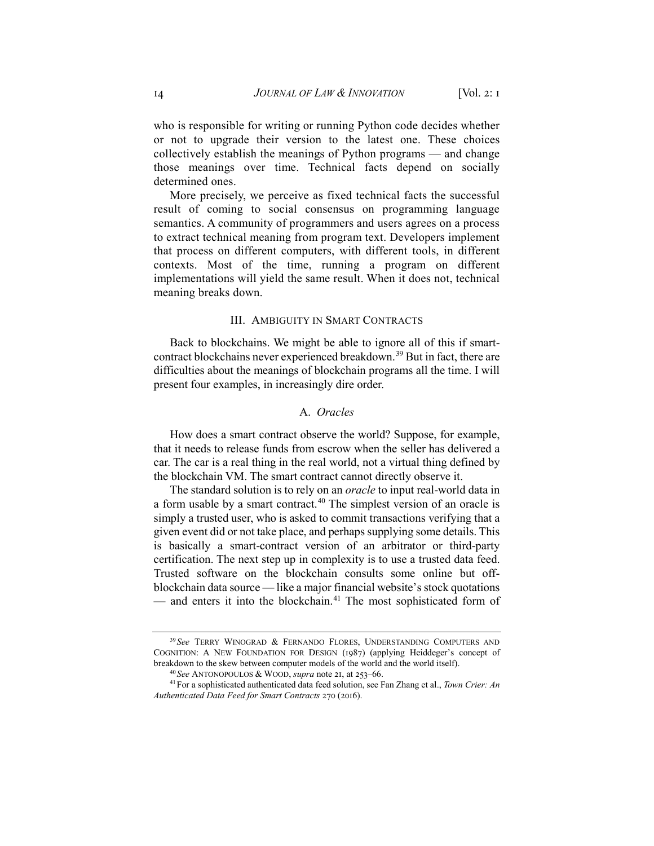who is responsible for writing or running Python code decides whether or not to upgrade their version to the latest one. These choices collectively establish the meanings of Python programs — and change those meanings over time. Technical facts depend on socially determined ones.

More precisely, we perceive as fixed technical facts the successful result of coming to social consensus on programming language semantics. A community of programmers and users agrees on a process to extract technical meaning from program text. Developers implement that process on different computers, with different tools, in different contexts. Most of the time, running a program on different implementations will yield the same result. When it does not, technical meaning breaks down.

#### III. AMBIGUITY IN SMART CONTRACTS

Back to blockchains. We might be able to ignore all of this if smart-contract blockchains never experienced breakdown.<sup>[39](#page-13-0)</sup> But in fact, there are difficulties about the meanings of blockchain programs all the time. I will present four examples, in increasingly dire order.

# A. *Oracles*

How does a smart contract observe the world? Suppose, for example, that it needs to release funds from escrow when the seller has delivered a car. The car is a real thing in the real world, not a virtual thing defined by the blockchain VM. The smart contract cannot directly observe it.

The standard solution is to rely on an *oracle* to input real-world data in a form usable by a smart contract.<sup>[40](#page-13-1)</sup> The simplest version of an oracle is simply a trusted user, who is asked to commit transactions verifying that a given event did or not take place, and perhaps supplying some details. This is basically a smart-contract version of an arbitrator or third-party certification. The next step up in complexity is to use a trusted data feed. Trusted software on the blockchain consults some online but offblockchain data source — like a major financial website's stock quotations — and enters it into the blockchain.<sup>[41](#page-13-2)</sup> The most sophisticated form of

<span id="page-13-0"></span><sup>39</sup> *See* TERRY WINOGRAD & FERNANDO FLORES, UNDERSTANDING COMPUTERS AND COGNITION: A NEW FOUNDATION FOR DESIGN (1987) (applying Heiddeger's concept of breakdown to the skew between computer models of the world and the world itself).

<sup>40</sup> *See* ANTONOPOULOS & WOOD, *supra* note 21, at 253–66.

<span id="page-13-2"></span><span id="page-13-1"></span><sup>41</sup>For a sophisticated authenticated data feed solution, see Fan Zhang et al., *Town Crier: An Authenticated Data Feed for Smart Contracts* 270 (2016).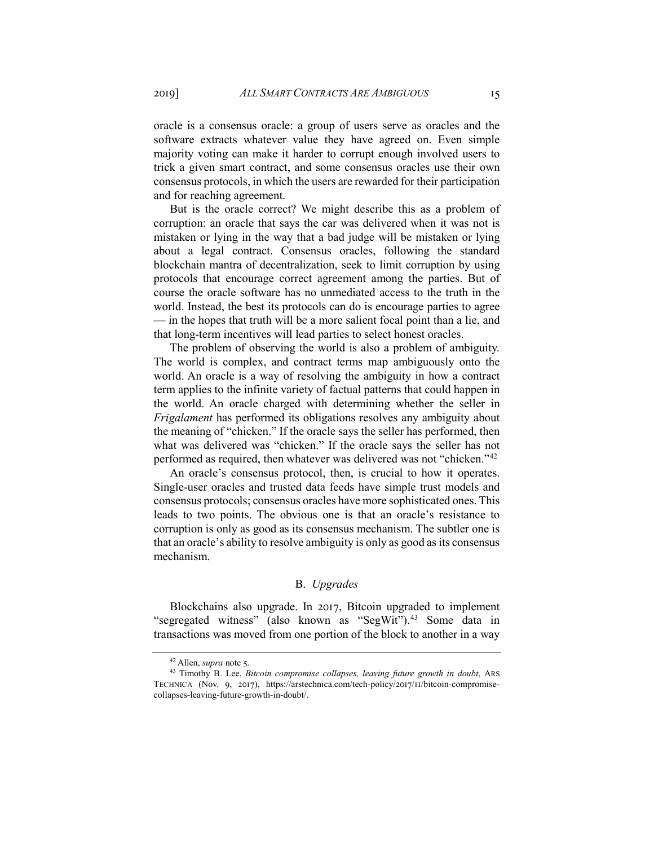oracle is a consensus oracle: a group of users serve as oracles and the software extracts whatever value they have agreed on. Even simple majority voting can make it harder to corrupt enough involved users to trick a given smart contract, and some consensus oracles use their own consensus protocols, in which the users are rewarded for their participation and for reaching agreement.

But is the oracle correct? We might describe this as a problem of corruption: an oracle that says the car was delivered when it was not is mistaken or lying in the way that a bad judge will be mistaken or lying about a legal contract. Consensus oracles, following the standard blockchain mantra of decentralization, seek to limit corruption by using protocols that encourage correct agreement among the parties. But of course the oracle software has no unmediated access to the truth in the world. Instead, the best its protocols can do is encourage parties to agree — in the hopes that truth will be a more salient focal point than a lie, and that long-term incentives will lead parties to select honest oracles.

The problem of observing the world is also a problem of ambiguity. The world is complex, and contract terms map ambiguously onto the world. An oracle is a way of resolving the ambiguity in how a contract term applies to the infinite variety of factual patterns that could happen in the world. An oracle charged with determining whether the seller in *Frigalament* has performed its obligations resolves any ambiguity about the meaning of "chicken." If the oracle says the seller has performed, then what was delivered was "chicken." If the oracle says the seller has not performed as required, then whatever was delivered was not "chicken."[42](#page-14-0)

An oracle's consensus protocol, then, is crucial to how it operates. Single-user oracles and trusted data feeds have simple trust models and consensus protocols; consensus oracles have more sophisticated ones. This leads to two points. The obvious one is that an oracle's resistance to corruption is only as good as its consensus mechanism. The subtler one is that an oracle's ability to resolve ambiguity is only as good as its consensus mechanism.

#### B. *Upgrades*

Blockchains also upgrade. In 2017, Bitcoin upgraded to implement "segregated witness" (also known as "SegWit").<sup>43</sup> Some data in transactions was moved from one portion of the block to another in a way

<sup>42</sup> Allen, *supra* note 5.

<span id="page-14-1"></span><span id="page-14-0"></span><sup>&</sup>lt;sup>43</sup> Timothy B. Lee, *Bitcoin compromise collapses, leaving future growth in doubt*, ARS TECHNICA (Nov. 9, 2017), https://arstechnica.com/tech-policy/2017/11/bitcoin-compromisecollapses-leaving-future-growth-in-doubt/.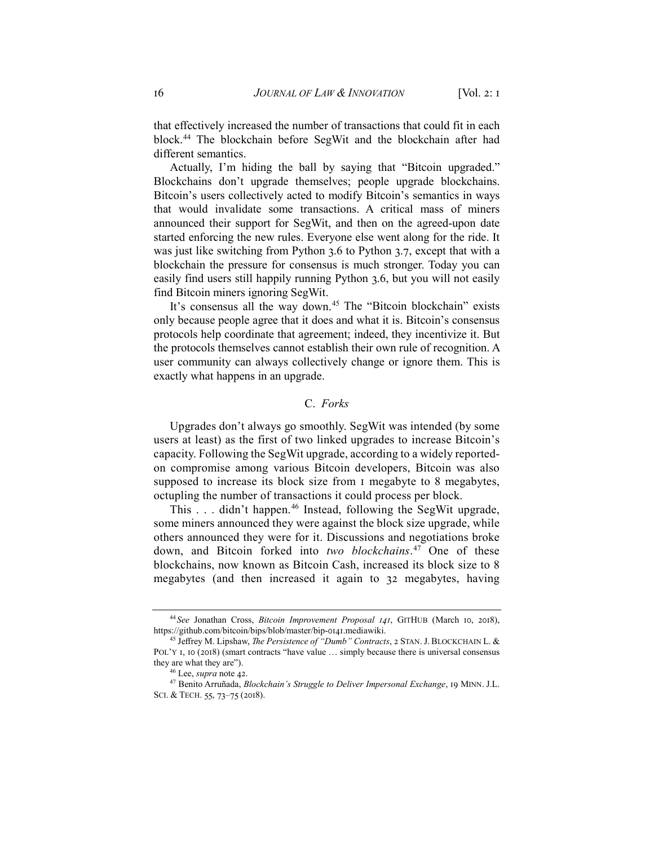that effectively increased the number of transactions that could fit in each block.[44](#page-15-0) The blockchain before SegWit and the blockchain after had different semantics.

Actually, I'm hiding the ball by saying that "Bitcoin upgraded." Blockchains don't upgrade themselves; people upgrade blockchains. Bitcoin's users collectively acted to modify Bitcoin's semantics in ways that would invalidate some transactions. A critical mass of miners announced their support for SegWit, and then on the agreed-upon date started enforcing the new rules. Everyone else went along for the ride. It was just like switching from Python 3.6 to Python 3.7, except that with a blockchain the pressure for consensus is much stronger. Today you can easily find users still happily running Python 3.6, but you will not easily find Bitcoin miners ignoring SegWit.

It's consensus all the way down.<sup>[45](#page-15-1)</sup> The "Bitcoin blockchain" exists only because people agree that it does and what it is. Bitcoin's consensus protocols help coordinate that agreement; indeed, they incentivize it. But the protocols themselves cannot establish their own rule of recognition. A user community can always collectively change or ignore them. This is exactly what happens in an upgrade.

### C. *Forks*

Upgrades don't always go smoothly. SegWit was intended (by some users at least) as the first of two linked upgrades to increase Bitcoin's capacity. Following the SegWit upgrade, according to a widely reportedon compromise among various Bitcoin developers, Bitcoin was also supposed to increase its block size from 1 megabyte to 8 megabytes, octupling the number of transactions it could process per block.

This . . . didn't happen.<sup>[46](#page-15-2)</sup> Instead, following the SegWit upgrade, some miners announced they were against the block size upgrade, while others announced they were for it. Discussions and negotiations broke down, and Bitcoin forked into *two blockchains*. [47](#page-15-3) One of these blockchains, now known as Bitcoin Cash, increased its block size to 8 megabytes (and then increased it again to 32 megabytes, having

<span id="page-15-1"></span><span id="page-15-0"></span><sup>44</sup> *See* Jonathan Cross, *Bitcoin Improvement Proposal 141*, GITHUB (March 10, 2018), https://github.com/bitcoin/bips/blob/master/bip-0141.mediawiki.

<sup>45</sup> Jeffrey M. Lipshaw, *The Persistence of "Dumb" Contracts*, 2 STAN. J. BLOCKCHAIN L. & POL'Y I, 10 (2018) (smart contracts "have value ... simply because there is universal consensus they are what they are").

<sup>46</sup> Lee, *supra* note 42.

<span id="page-15-3"></span><span id="page-15-2"></span><sup>47</sup> Benito Arruñada, *Blockchain's Struggle to Deliver Impersonal Exchange*, 19 MINN. J.L. SCI. & TECH. 55, 73-75 (2018).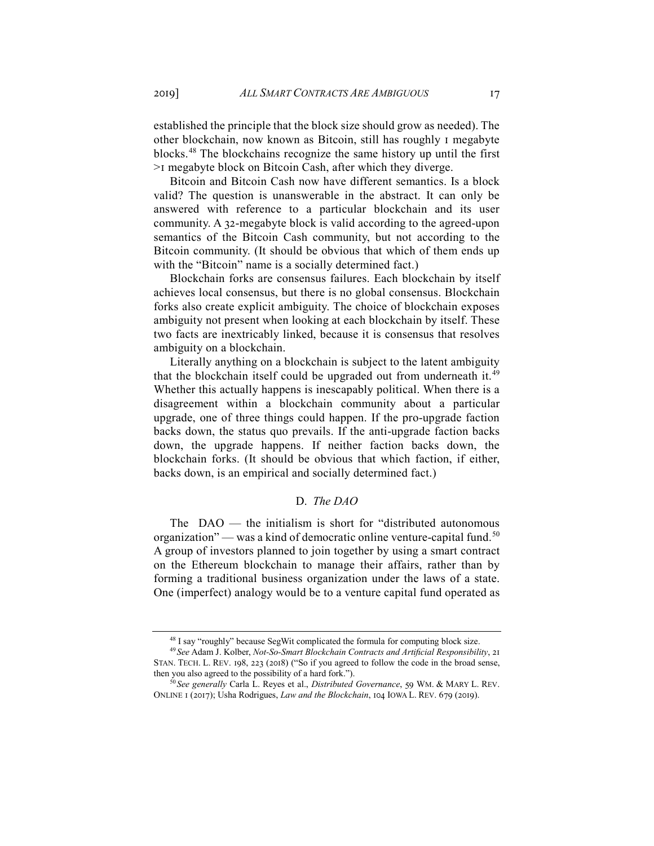established the principle that the block size should grow as needed). The other blockchain, now known as Bitcoin, still has roughly 1 megabyte blocks.[48](#page-16-0) The blockchains recognize the same history up until the first >1 megabyte block on Bitcoin Cash, after which they diverge.

Bitcoin and Bitcoin Cash now have different semantics. Is a block valid? The question is unanswerable in the abstract. It can only be answered with reference to a particular blockchain and its user community. A 32-megabyte block is valid according to the agreed-upon semantics of the Bitcoin Cash community, but not according to the Bitcoin community. (It should be obvious that which of them ends up with the "Bitcoin" name is a socially determined fact.)

Blockchain forks are consensus failures. Each blockchain by itself achieves local consensus, but there is no global consensus. Blockchain forks also create explicit ambiguity. The choice of blockchain exposes ambiguity not present when looking at each blockchain by itself. These two facts are inextricably linked, because it is consensus that resolves ambiguity on a blockchain.

Literally anything on a blockchain is subject to the latent ambiguity that the blockchain itself could be upgraded out from underneath it.<sup>[49](#page-16-1)</sup> Whether this actually happens is inescapably political. When there is a disagreement within a blockchain community about a particular upgrade, one of three things could happen. If the pro-upgrade faction backs down, the status quo prevails. If the anti-upgrade faction backs down, the upgrade happens. If neither faction backs down, the blockchain forks. (It should be obvious that which faction, if either, backs down, is an empirical and socially determined fact.)

## D. *The DAO*

The DAO — the initialism is short for "distributed autonomous organization" — was a kind of democratic online venture-capital fund.<sup>[50](#page-16-2)</sup> A group of investors planned to join together by using a smart contract on the Ethereum blockchain to manage their affairs, rather than by forming a traditional business organization under the laws of a state. One (imperfect) analogy would be to a venture capital fund operated as

<sup>&</sup>lt;sup>48</sup> I say "roughly" because SegWit complicated the formula for computing block size.

<span id="page-16-1"></span><span id="page-16-0"></span><sup>49</sup> *See* Adam J. Kolber, *Not-So-Smart Blockchain Contracts and Artificial Responsibility*, 21 STAN. TECH. L. REV. 198, 223 (2018) ("So if you agreed to follow the code in the broad sense, then you also agreed to the possibility of a hard fork.").

<span id="page-16-2"></span><sup>50</sup> *See generally* Carla L. Reyes et al., *Distributed Governance*, 59 WM. & MARY L. REV. ONLINE 1 (2017); Usha Rodrigues, *Law and the Blockchain*, 104 IOWA L. REV. 679 (2019).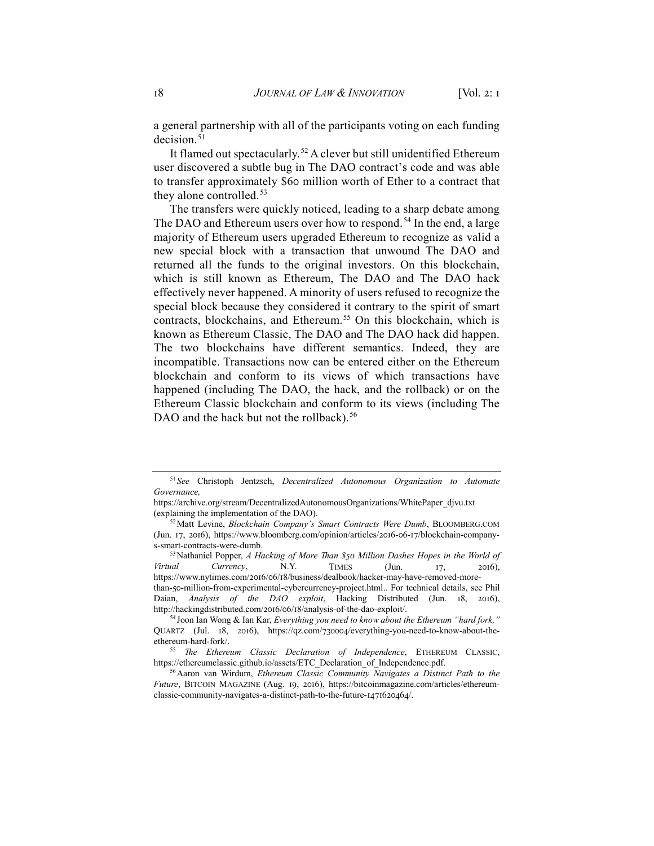a general partnership with all of the participants voting on each funding decision.<sup>[51](#page-17-0)</sup>

It flamed out spectacularly.<sup>[52](#page-17-1)</sup> A clever but still unidentified Ethereum user discovered a subtle bug in The DAO contract's code and was able to transfer approximately \$60 million worth of Ether to a contract that they alone controlled.<sup>[53](#page-17-2)</sup>

The transfers were quickly noticed, leading to a sharp debate among The DAO and Ethereum users over how to respond.<sup>[54](#page-17-3)</sup> In the end, a large majority of Ethereum users upgraded Ethereum to recognize as valid a new special block with a transaction that unwound The DAO and returned all the funds to the original investors. On this blockchain, which is still known as Ethereum, The DAO and The DAO hack effectively never happened. A minority of users refused to recognize the special block because they considered it contrary to the spirit of smart contracts, blockchains, and Ethereum.<sup>[55](#page-17-4)</sup> On this blockchain, which is known as Ethereum Classic, The DAO and The DAO hack did happen. The two blockchains have different semantics. Indeed, they are incompatible. Transactions now can be entered either on the Ethereum blockchain and conform to its views of which transactions have happened (including The DAO, the hack, and the rollback) or on the Ethereum Classic blockchain and conform to its views (including The DAO and the hack but not the rollback).<sup>[56](#page-17-5)</sup>

<span id="page-17-0"></span><sup>51</sup> *See* Christoph Jentzsch, *Decentralized Autonomous Organization to Automate Governance,* 

https://archive.org/stream/DecentralizedAutonomousOrganizations/WhitePaper\_djvu.txt (explaining the implementation of the DAO).

<span id="page-17-1"></span><sup>52</sup>Matt Levine, *Blockchain Company's Smart Contracts Were Dumb*, BLOOMBERG.COM (Jun. 17, 2016), https://www.bloomberg.com/opinion/articles/2016-06-17/blockchain-companys-smart-contracts-were-dumb.

<span id="page-17-2"></span><sup>53</sup>Nathaniel Popper, *A Hacking of More Than \$50 Million Dashes Hopes in the World of Virtual Currency*, N.Y. TIMES (Jun. 17, 2016), https://www.nytimes.com/2016/06/18/business/dealbook/hacker-may-have-removed-morethan-50-million-from-experimental-cybercurrency-project.html.. For technical details, see Phil Daian, *Analysis of the DAO exploit*, Hacking Distributed (Jun. 18, 2016), http://hackingdistributed.com/2016/06/18/analysis-of-the-dao-exploit/.

<span id="page-17-3"></span><sup>54</sup> Joon Ian Wong & Ian Kar, *Everything you need to know about the Ethereum "hard fork,"* QUARTZ (Jul. 18, 2016), https://qz.com/730004/everything-you-need-to-know-about-theethereum-hard-fork/.

<span id="page-17-4"></span><sup>55</sup> *The Ethereum Classic Declaration of Independence*, ETHEREUM CLASSIC, https://ethereumclassic.github.io/assets/ETC\_Declaration\_of\_Independence.pdf.

<span id="page-17-5"></span><sup>56</sup>Aaron van Wirdum, *Ethereum Classic Community Navigates a Distinct Path to the Future*, BITCOIN MAGAZINE (Aug. 19, 2016), https://bitcoinmagazine.com/articles/ethereumclassic-community-navigates-a-distinct-path-to-the-future-1471620464/.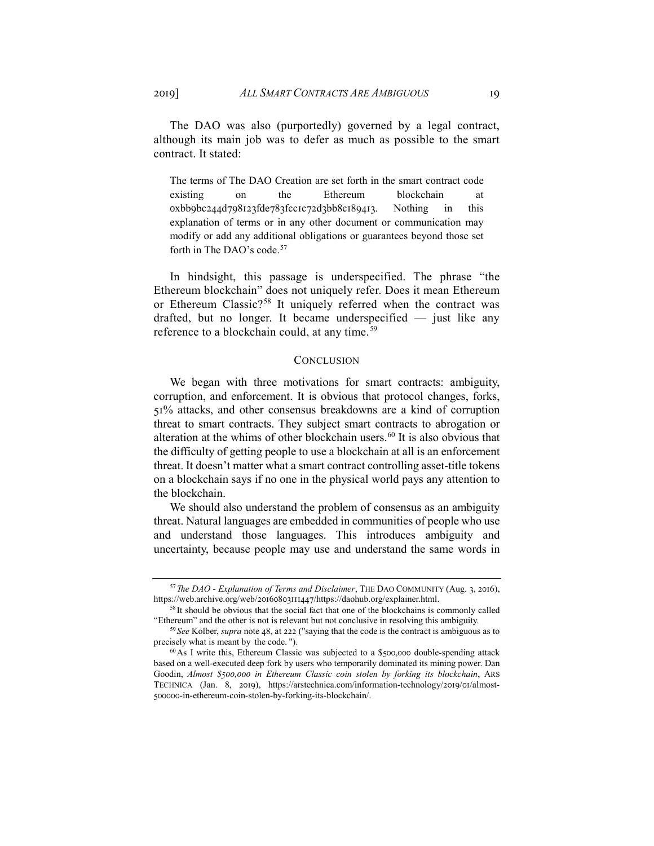The DAO was also (purportedly) governed by a legal contract, although its main job was to defer as much as possible to the smart contract. It stated:

The terms of The DAO Creation are set forth in the smart contract code existing on the Ethereum blockchain at 0xbb9bc244d798123fde783fcc1c72d3bb8c189413. Nothing in this explanation of terms or in any other document or communication may modify or add any additional obligations or guarantees beyond those set forth in The DAO's code.<sup>[57](#page-18-0)</sup>

In hindsight, this passage is underspecified. The phrase "the Ethereum blockchain" does not uniquely refer. Does it mean Ethereum or Ethereum Classic?<sup>[58](#page-18-1)</sup> It uniquely referred when the contract was drafted, but no longer. It became underspecified — just like any reference to a blockchain could, at any time.<sup>[59](#page-18-2)</sup>

#### **CONCLUSION**

We began with three motivations for smart contracts: ambiguity, corruption, and enforcement. It is obvious that protocol changes, forks, 51% attacks, and other consensus breakdowns are a kind of corruption threat to smart contracts. They subject smart contracts to abrogation or alteration at the whims of other blockchain users.<sup>[60](#page-18-3)</sup> It is also obvious that the difficulty of getting people to use a blockchain at all is an enforcement threat. It doesn't matter what a smart contract controlling asset-title tokens on a blockchain says if no one in the physical world pays any attention to the blockchain.

We should also understand the problem of consensus as an ambiguity threat. Natural languages are embedded in communities of people who use and understand those languages. This introduces ambiguity and uncertainty, because people may use and understand the same words in

<span id="page-18-1"></span><span id="page-18-0"></span><sup>57</sup>*The DAO - Explanation of Terms and Disclaimer*, THE DAO COMMUNITY (Aug. 3, 2016), https://web.archive.org/web/20160803111447/https://daohub.org/explainer.html.

<sup>&</sup>lt;sup>58</sup>It should be obvious that the social fact that one of the blockchains is commonly called "Ethereum" and the other is not is relevant but not conclusive in resolving this ambiguity.

<span id="page-18-2"></span><sup>59</sup> *See* Kolber, *supra* note 48, at 222 ("saying that the code is the contract is ambiguous as to precisely what is meant by the code. ").

<span id="page-18-3"></span><sup>60</sup>As I write this, Ethereum Classic was subjected to a \$500,000 double-spending attack based on a well-executed deep fork by users who temporarily dominated its mining power. Dan Goodin, *Almost \$500,000 in Ethereum Classic coin stolen by forking its blockchain*, ARS TECHNICA (Jan. 8, 2019), https://arstechnica.com/information-technology/2019/01/almost-500000-in-ethereum-coin-stolen-by-forking-its-blockchain/.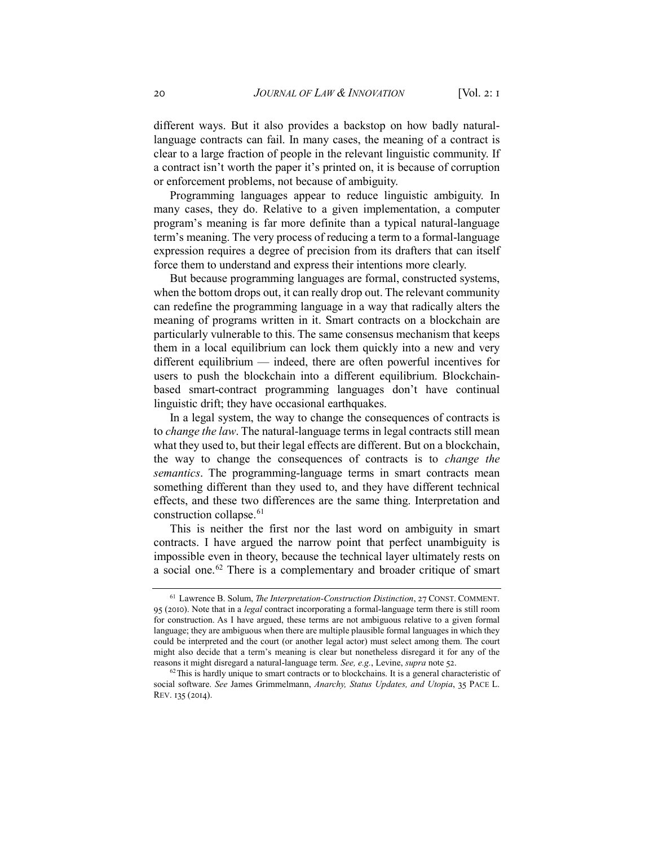different ways. But it also provides a backstop on how badly naturallanguage contracts can fail. In many cases, the meaning of a contract is clear to a large fraction of people in the relevant linguistic community. If a contract isn't worth the paper it's printed on, it is because of corruption or enforcement problems, not because of ambiguity.

Programming languages appear to reduce linguistic ambiguity. In many cases, they do. Relative to a given implementation, a computer program's meaning is far more definite than a typical natural-language term's meaning. The very process of reducing a term to a formal-language expression requires a degree of precision from its drafters that can itself force them to understand and express their intentions more clearly.

But because programming languages are formal, constructed systems, when the bottom drops out, it can really drop out. The relevant community can redefine the programming language in a way that radically alters the meaning of programs written in it. Smart contracts on a blockchain are particularly vulnerable to this. The same consensus mechanism that keeps them in a local equilibrium can lock them quickly into a new and very different equilibrium — indeed, there are often powerful incentives for users to push the blockchain into a different equilibrium. Blockchainbased smart-contract programming languages don't have continual linguistic drift; they have occasional earthquakes.

In a legal system, the way to change the consequences of contracts is to *change the law*. The natural-language terms in legal contracts still mean what they used to, but their legal effects are different. But on a blockchain, the way to change the consequences of contracts is to *change the semantics*. The programming-language terms in smart contracts mean something different than they used to, and they have different technical effects, and these two differences are the same thing. Interpretation and construction collapse.[61](#page-19-0)

This is neither the first nor the last word on ambiguity in smart contracts. I have argued the narrow point that perfect unambiguity is impossible even in theory, because the technical layer ultimately rests on a social one.[62](#page-19-1) There is a complementary and broader critique of smart

<span id="page-19-0"></span><sup>61</sup> Lawrence B. Solum, *The Interpretation-Construction Distinction*, 27 CONST. COMMENT. 95 (2010). Note that in a *legal* contract incorporating a formal-language term there is still room for construction. As I have argued, these terms are not ambiguous relative to a given formal language; they are ambiguous when there are multiple plausible formal languages in which they could be interpreted and the court (or another legal actor) must select among them. The court might also decide that a term's meaning is clear but nonetheless disregard it for any of the reasons it might disregard a natural-language term. *See, e.g.*, Levine, *supra* note 52.

<span id="page-19-1"></span> $62$  This is hardly unique to smart contracts or to blockchains. It is a general characteristic of social software. *See* James Grimmelmann, *Anarchy, Status Updates, and Utopia*, 35 PACE L. REV. 135 (2014).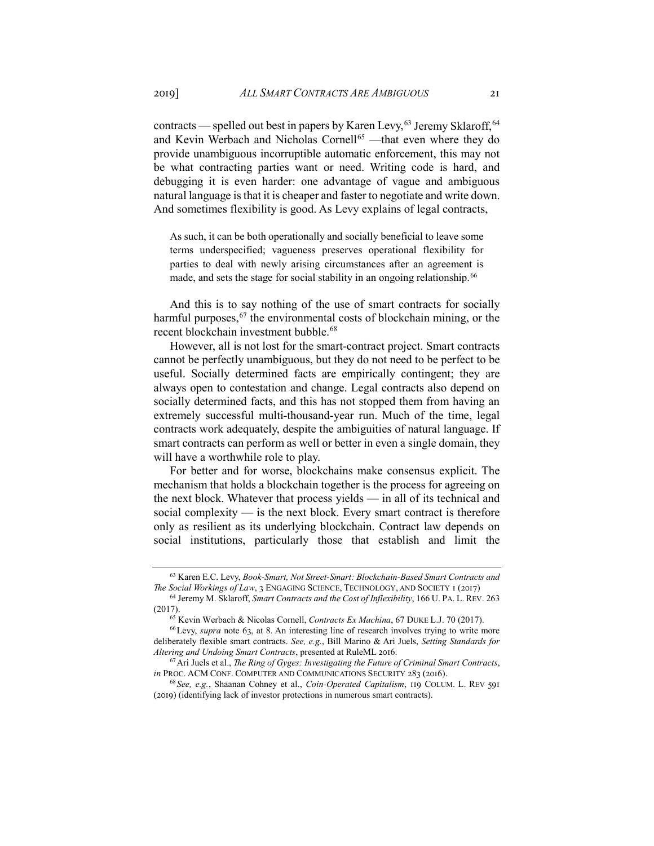contracts — spelled out best in papers by Karen Levy,  $63$  Jeremy Sklaroff,  $64$ and Kevin Werbach and Nicholas Cornell<sup>[65](#page-20-2)</sup> —that even where they do provide unambiguous incorruptible automatic enforcement, this may not be what contracting parties want or need. Writing code is hard, and debugging it is even harder: one advantage of vague and ambiguous natural language is that it is cheaper and faster to negotiate and write down. And sometimes flexibility is good. As Levy explains of legal contracts,

As such, it can be both operationally and socially beneficial to leave some terms underspecified; vagueness preserves operational flexibility for parties to deal with newly arising circumstances after an agreement is made, and sets the stage for social stability in an ongoing relationship.<sup>[66](#page-20-3)</sup>

And this is to say nothing of the use of smart contracts for socially harmful purposes,<sup>[67](#page-20-4)</sup> the environmental costs of blockchain mining, or the recent blockchain investment bubble.<sup>[68](#page-20-5)</sup>

However, all is not lost for the smart-contract project. Smart contracts cannot be perfectly unambiguous, but they do not need to be perfect to be useful. Socially determined facts are empirically contingent; they are always open to contestation and change. Legal contracts also depend on socially determined facts, and this has not stopped them from having an extremely successful multi-thousand-year run. Much of the time, legal contracts work adequately, despite the ambiguities of natural language. If smart contracts can perform as well or better in even a single domain, they will have a worthwhile role to play.

For better and for worse, blockchains make consensus explicit. The mechanism that holds a blockchain together is the process for agreeing on the next block. Whatever that process yields — in all of its technical and social complexity — is the next block. Every smart contract is therefore only as resilient as its underlying blockchain. Contract law depends on social institutions, particularly those that establish and limit the

<span id="page-20-0"></span><sup>63</sup> Karen E.C. Levy, *Book-Smart, Not Street-Smart: Blockchain-Based Smart Contracts and The Social Workings of Law*, 3 ENGAGING SCIENCE, TECHNOLOGY, AND SOCIETY 1 (2017)

<span id="page-20-1"></span><sup>64</sup> Jeremy M. Sklaroff, *Smart Contracts and the Cost of Inflexibility*, 166 U. PA. L. REV. 263 (2017).

<sup>65</sup> Kevin Werbach & Nicolas Cornell, *Contracts Ex Machina*, 67 DUKE L.J. 70 (2017).

<span id="page-20-3"></span><span id="page-20-2"></span><sup>66</sup>Levy, *supra* note 63, at 8. An interesting line of research involves trying to write more deliberately flexible smart contracts. *See, e.g.*, Bill Marino & Ari Juels, *Setting Standards for Altering and Undoing Smart Contracts*, presented at RuleML 2016.

<span id="page-20-4"></span><sup>67</sup>Ari Juels et al., *The Ring of Gyges: Investigating the Future of Criminal Smart Contracts*, *in* PROC. ACM CONF. COMPUTER AND COMMUNICATIONS SECURITY 283 (2016).

<span id="page-20-5"></span><sup>68</sup> *See, e.g.*, Shaanan Cohney et al., *Coin-Operated Capitalism*, 119 COLUM. L. REV 591 (2019) (identifying lack of investor protections in numerous smart contracts).